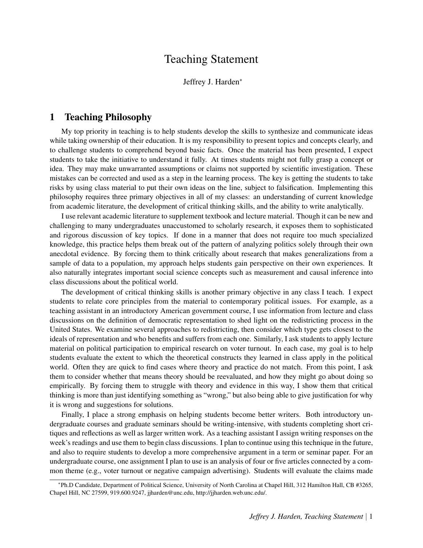# Teaching Statement

Jeffrey J. Harden<sup>∗</sup>

# 1 Teaching Philosophy

My top priority in teaching is to help students develop the skills to synthesize and communicate ideas while taking ownership of their education. It is my responsibility to present topics and concepts clearly, and to challenge students to comprehend beyond basic facts. Once the material has been presented, I expect students to take the initiative to understand it fully. At times students might not fully grasp a concept or idea. They may make unwarranted assumptions or claims not supported by scientific investigation. These mistakes can be corrected and used as a step in the learning process. The key is getting the students to take risks by using class material to put their own ideas on the line, subject to falsification. Implementing this philosophy requires three primary objectives in all of my classes: an understanding of current knowledge from academic literature, the development of critical thinking skills, and the ability to write analytically.

I use relevant academic literature to supplement textbook and lecture material. Though it can be new and challenging to many undergraduates unaccustomed to scholarly research, it exposes them to sophisticated and rigorous discussion of key topics. If done in a manner that does not require too much specialized knowledge, this practice helps them break out of the pattern of analyzing politics solely through their own anecdotal evidence. By forcing them to think critically about research that makes generalizations from a sample of data to a population, my approach helps students gain perspective on their own experiences. It also naturally integrates important social science concepts such as measurement and causal inference into class discussions about the political world.

The development of critical thinking skills is another primary objective in any class I teach. I expect students to relate core principles from the material to contemporary political issues. For example, as a teaching assistant in an introductory American government course, I use information from lecture and class discussions on the definition of democratic representation to shed light on the redistricting process in the United States. We examine several approaches to redistricting, then consider which type gets closest to the ideals of representation and who benefits and suffers from each one. Similarly, I ask students to apply lecture material on political participation to empirical research on voter turnout. In each case, my goal is to help students evaluate the extent to which the theoretical constructs they learned in class apply in the political world. Often they are quick to find cases where theory and practice do not match. From this point, I ask them to consider whether that means theory should be reevaluated, and how they might go about doing so empirically. By forcing them to struggle with theory and evidence in this way, I show them that critical thinking is more than just identifying something as "wrong," but also being able to give justification for why it is wrong and suggestions for solutions.

Finally, I place a strong emphasis on helping students become better writers. Both introductory undergraduate courses and graduate seminars should be writing-intensive, with students completing short critiques and reflections as well as larger written work. As a teaching assistant I assign writing responses on the week's readings and use them to begin class discussions. I plan to continue using this technique in the future, and also to require students to develop a more comprehensive argument in a term or seminar paper. For an undergraduate course, one assignment I plan to use is an analysis of four or five articles connected by a common theme (e.g., voter turnout or negative campaign advertising). Students will evaluate the claims made

<sup>∗</sup> Ph.D Candidate, Department of Political Science, University of North Carolina at Chapel Hill, 312 Hamilton Hall, CB #3265, Chapel Hill, NC 27599, 919.600.9247, jjharden@unc.edu, http://jjharden.web.unc.edu/.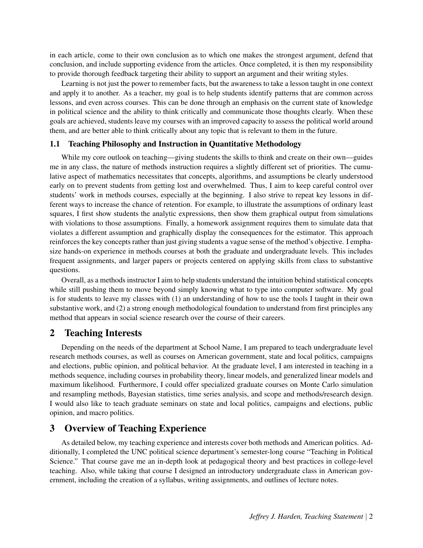in each article, come to their own conclusion as to which one makes the strongest argument, defend that conclusion, and include supporting evidence from the articles. Once completed, it is then my responsibility to provide thorough feedback targeting their ability to support an argument and their writing styles.

Learning is not just the power to remember facts, but the awareness to take a lesson taught in one context and apply it to another. As a teacher, my goal is to help students identify patterns that are common across lessons, and even across courses. This can be done through an emphasis on the current state of knowledge in political science and the ability to think critically and communicate those thoughts clearly. When these goals are achieved, students leave my courses with an improved capacity to assess the political world around them, and are better able to think critically about any topic that is relevant to them in the future.

#### 1.1 Teaching Philosophy and Instruction in Quantitative Methodology

While my core outlook on teaching—giving students the skills to think and create on their own—guides me in any class, the nature of methods instruction requires a slightly different set of priorities. The cumulative aspect of mathematics necessitates that concepts, algorithms, and assumptions be clearly understood early on to prevent students from getting lost and overwhelmed. Thus, I aim to keep careful control over students' work in methods courses, especially at the beginning. I also strive to repeat key lessons in different ways to increase the chance of retention. For example, to illustrate the assumptions of ordinary least squares, I first show students the analytic expressions, then show them graphical output from simulations with violations to those assumptions. Finally, a homework assignment requires them to simulate data that violates a different assumption and graphically display the consequences for the estimator. This approach reinforces the key concepts rather than just giving students a vague sense of the method's objective. I emphasize hands-on experience in methods courses at both the graduate and undergraduate levels. This includes frequent assignments, and larger papers or projects centered on applying skills from class to substantive questions.

Overall, as a methods instructor I aim to help students understand the intuition behind statistical concepts while still pushing them to move beyond simply knowing what to type into computer software. My goal is for students to leave my classes with (1) an understanding of how to use the tools I taught in their own substantive work, and (2) a strong enough methodological foundation to understand from first principles any method that appears in social science research over the course of their careers.

### 2 Teaching Interests

Depending on the needs of the department at School Name, I am prepared to teach undergraduate level research methods courses, as well as courses on American government, state and local politics, campaigns and elections, public opinion, and political behavior. At the graduate level, I am interested in teaching in a methods sequence, including courses in probability theory, linear models, and generalized linear models and maximum likelihood. Furthermore, I could offer specialized graduate courses on Monte Carlo simulation and resampling methods, Bayesian statistics, time series analysis, and scope and methods/research design. I would also like to teach graduate seminars on state and local politics, campaigns and elections, public opinion, and macro politics.

# 3 Overview of Teaching Experience

As detailed below, my teaching experience and interests cover both methods and American politics. Additionally, I completed the UNC political science department's semester-long course "Teaching in Political Science." That course gave me an in-depth look at pedagogical theory and best practices in college-level teaching. Also, while taking that course I designed an introductory undergraduate class in American government, including the creation of a syllabus, writing assignments, and outlines of lecture notes.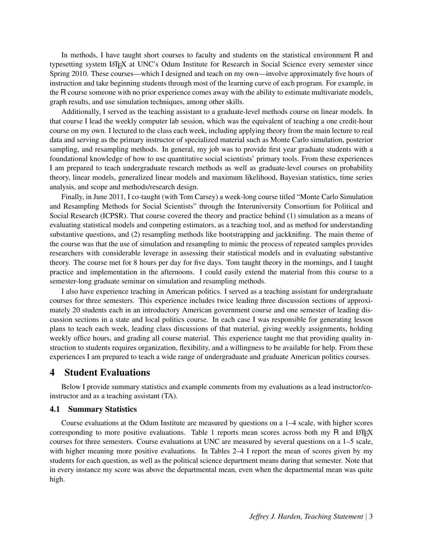In methods, I have taught short courses to faculty and students on the statistical environment R and typesetting system LATEX at UNC's Odum Institute for Research in Social Science every semester since Spring 2010. These courses—which I designed and teach on my own—involve approximately five hours of instruction and take beginning students through most of the learning curve of each program. For example, in the R course someone with no prior experience comes away with the ability to estimate multivariate models, graph results, and use simulation techniques, among other skills.

Additionally, I served as the teaching assistant to a graduate-level methods course on linear models. In that course I lead the weekly computer lab session, which was the equivalent of teaching a one credit-hour course on my own. I lectured to the class each week, including applying theory from the main lecture to real data and serving as the primary instructor of specialized material such as Monte Carlo simulation, posterior sampling, and resampling methods. In general, my job was to provide first year graduate students with a foundational knowledge of how to use quantitative social scientists' primary tools. From these experiences I am prepared to teach undergraduate research methods as well as graduate-level courses on probability theory, linear models, generalized linear models and maximum likelihood, Bayesian statistics, time series analysis, and scope and methods/research design.

Finally, in June 2011, I co-taught (with Tom Carsey) a week-long course titled "Monte Carlo Simulation and Resampling Methods for Social Scientists" through the Interuniversity Consortium for Political and Social Research (ICPSR). That course covered the theory and practice behind (1) simulation as a means of evaluating statistical models and competing estimators, as a teaching tool, and as method for understanding substantive questions, and (2) resampling methods like bootstrapping and jackknifing. The main theme of the course was that the use of simulation and resampling to mimic the process of repeated samples provides researchers with considerable leverage in assessing their statistical models and in evaluating substantive theory. The course met for 8 hours per day for five days. Tom taught theory in the mornings, and I taught practice and implementation in the afternoons. I could easily extend the material from this course to a semester-long graduate seminar on simulation and resampling methods.

I also have experience teaching in American politics. I served as a teaching assistant for undergraduate courses for three semesters. This experience includes twice leading three discussion sections of approximately 20 students each in an introductory American government course and one semester of leading discussion sections in a state and local politics course. In each case I was responsible for generating lesson plans to teach each week, leading class discussions of that material, giving weekly assignments, holding weekly office hours, and grading all course material. This experience taught me that providing quality instruction to students requires organization, flexibility, and a willingness to be available for help. From these experiences I am prepared to teach a wide range of undergraduate and graduate American politics courses.

## 4 Student Evaluations

Below I provide summary statistics and example comments from my evaluations as a lead instructor/coinstructor and as a teaching assistant (TA).

#### 4.1 Summary Statistics

Course evaluations at the Odum Institute are measured by questions on a 1–4 scale, with higher scores corresponding to more positive evaluations. Table 1 reports mean scores across both my  $R$  and LATEX courses for three semesters. Course evaluations at UNC are measured by several questions on a 1–5 scale, with higher meaning more positive evaluations. In Tables 2–4 I report the mean of scores given by my students for each question, as well as the political science department means during that semester. Note that in every instance my score was above the departmental mean, even when the departmental mean was quite high.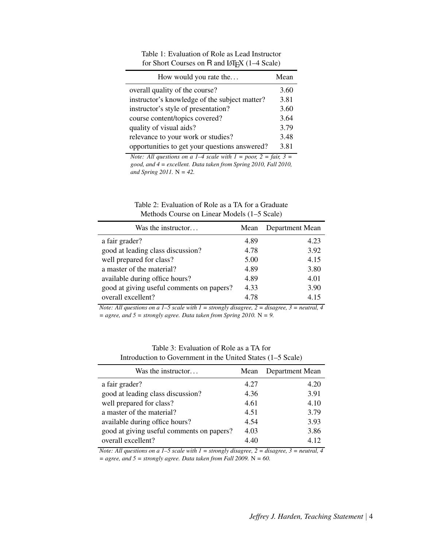| How would you rate the                        | Mean |
|-----------------------------------------------|------|
| overall quality of the course?                | 3.60 |
| instructor's knowledge of the subject matter? | 3.81 |
| instructor's style of presentation?           | 3.60 |
| course content/topics covered?                | 3.64 |
| quality of visual aids?                       | 3.79 |
| relevance to your work or studies?            | 3.48 |
| opportunities to get your questions answered? | 3.81 |

Table 1: Evaluation of Role as Lead Instructor for Short Courses on R and LATEX (1-4 Scale)

*Note: All questions on a 1–4 scale with 1 = poor, 2 = fair, 3 = good, and 4 = excellent. Data taken from Spring 2010, Fall 2010, and Spring 2011.* N *= 42.*

| Table 2: Evaluation of Role as a TA for a Graduate |  |
|----------------------------------------------------|--|
| Methods Course on Linear Models (1–5 Scale)        |  |

| Was the instructor                        | Mean | Department Mean |
|-------------------------------------------|------|-----------------|
| a fair grader?                            | 4.89 | 4.23            |
| good at leading class discussion?         | 4.78 | 3.92            |
| well prepared for class?                  | 5.00 | 4.15            |
| a master of the material?                 | 4.89 | 3.80            |
| available during office hours?            | 4.89 | 4.01            |
| good at giving useful comments on papers? | 4.33 | 3.90            |
| overall excellent?                        | 4.78 | 4.15            |

*Note: All questions on a 1–5 scale with 1 = strongly disagree, 2 = disagree, 3 = neutral, 4 = agree, and 5 = strongly agree. Data taken from Spring 2010.* N *= 9.*

| Introduction to Government in the United States $(1-5)$ Scale) |      |                 |  |
|----------------------------------------------------------------|------|-----------------|--|
| Was the instructor                                             | Mean | Department Mean |  |
| a fair grader?                                                 | 4.27 | 4.20            |  |
| good at leading class discussion?                              | 4.36 | 3.91            |  |
| well prepared for class?                                       | 4.61 | 4.10            |  |
| a master of the material?                                      | 4.51 | 3.79            |  |
| available during office hours?                                 | 4.54 | 3.93            |  |
| good at giving useful comments on papers?                      | 4.03 | 3.86            |  |
| overall excellent?                                             | 4.40 | 4.12            |  |

Table 3: Evaluation of Role as a TA for Introduction to Government in the United States (1–5 Scale)

*Note: All questions on a 1–5 scale with 1 = strongly disagree, 2 = disagree, 3 = neutral, 4 = agree, and 5 = strongly agree. Data taken from Fall 2009.* N *= 60.*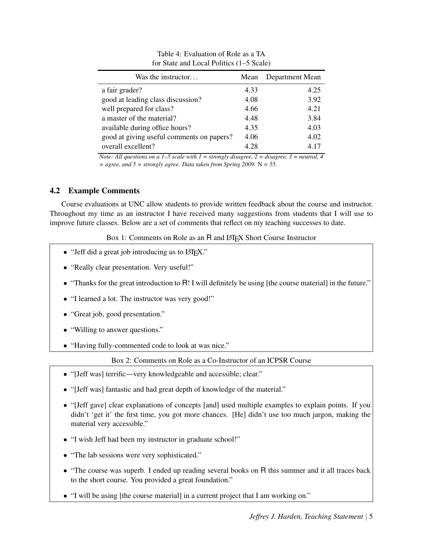| Was the instructor                        | Mean | Department Mean |
|-------------------------------------------|------|-----------------|
| a fair grader?                            | 4.33 | 4.25            |
| good at leading class discussion?         | 4.08 | 3.92            |
| well prepared for class?                  | 4.66 | 4.21            |
| a master of the material?                 | 4.48 | 3.84            |
| available during office hours?            | 4.35 | 4.03            |
| good at giving useful comments on papers? | 4.06 | 4.02            |
| overall excellent?                        | 4.28 | 4 1 7           |

Table 4: Evaluation of Role as a TA for State and Local Politics (1–5 Scale)

*Note: All questions on a 1–5 scale with 1 = strongly disagree, 2 = disagree, 3 = neutral, 4 = agree, and 5 = strongly agree. Data taken from Spring 2009.* N *= 55.*

## 4.2 Example Comments

Course evaluations at UNC allow students to provide written feedback about the course and instructor. Throughout my time as an instructor I have received many suggestions from students that I will use to improve future classes. Below are a set of comments that reflect on my teaching successes to date.

Box 1: Comments on Role as an R and LAT<sub>E</sub>X Short Course Instructor

- "Jeff did a great job introducing us to LAT<sub>EX</sub>."
- "Really clear presentation. Very useful!"
- "Thanks for the great introduction to R! I will definitely be using [the course material] in the future."
- "I learned a lot. The instructor was very good!"
- "Great job, good presentation."
- "Willing to answer questions."
- "Having fully-commented code to look at was nice."

### Box 2: Comments on Role as a Co-Instructor of an ICPSR Course

- "[Jeff was] terrific—very knowledgeable and accessible; clear."
- "[Jeff was] fantastic and had great depth of knowledge of the material."
- "[Jeff gave] clear explanations of concepts [and] used multiple examples to explain points. If you didn't 'get it' the first time, you got more chances. [He] didn't use too much jargon, making the material very accessible."
- "I wish Jeff had been my instructor in graduate school!"
- "The lab sessions were very sophisticated."
- "The course was superb. I ended up reading several books on R this summer and it all traces back to the short course. You provided a great foundation."
- "I will be using [the course material] in a current project that I am working on."